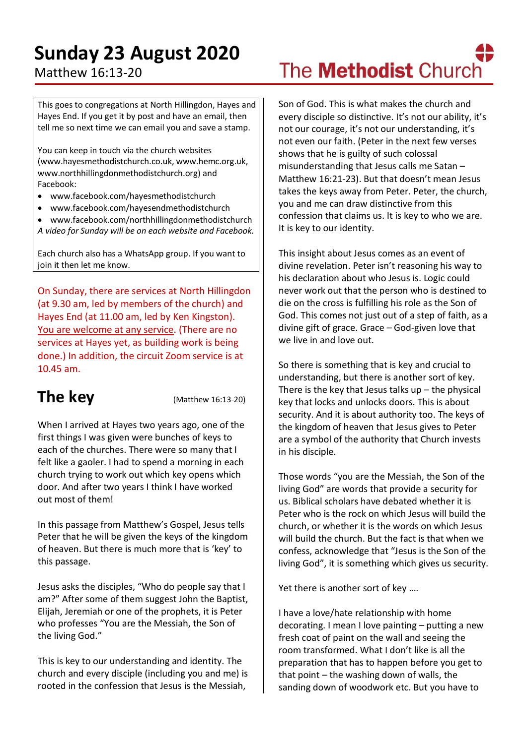# **Sunday 23 August 2020**

### Matthew 16:13-20

#### This goes to congregations at North Hillingdon, Hayes and Hayes End. If you get it by post and have an email, then tell me so next time we can email you and save a stamp.

You can keep in touch via the church websites (www.hayesmethodistchurch.co.uk, www.hemc.org.uk, www.northhillingdonmethodistchurch.org) and Facebook:

- www.facebook.com/hayesmethodistchurch
- www.facebook.com/hayesendmethodistchurch
- www.facebook.com/northhillingdonmethodistchurch
- *A video for Sunday will be on each website and Facebook.*

Each church also has a WhatsApp group. If you want to join it then let me know.

On Sunday, there are services at North Hillingdon (at 9.30 am, led by members of the church) and Hayes End (at 11.00 am, led by Ken Kingston). You are welcome at any service. (There are no services at Hayes yet, as building work is being done.) In addition, the circuit Zoom service is at 10.45 am.

## **The key** (Matthew 16:13-20)

When I arrived at Hayes two years ago, one of the first things I was given were bunches of keys to each of the churches. There were so many that I felt like a gaoler. I had to spend a morning in each church trying to work out which key opens which door. And after two years I think I have worked out most of them!

In this passage from Matthew's Gospel, Jesus tells Peter that he will be given the keys of the kingdom of heaven. But there is much more that is 'key' to this passage.

Jesus asks the disciples, "Who do people say that I am?" After some of them suggest John the Baptist, Elijah, Jeremiah or one of the prophets, it is Peter who professes "You are the Messiah, the Son of the living God."

This is key to our understanding and identity. The church and every disciple (including you and me) is rooted in the confession that Jesus is the Messiah,

Son of God. This is what makes the church and every disciple so distinctive. It's not our ability, it's not our courage, it's not our understanding, it's not even our faith. (Peter in the next few verses shows that he is guilty of such colossal misunderstanding that Jesus calls me Satan – Matthew 16:21-23). But that doesn't mean Jesus takes the keys away from Peter. Peter, the church, you and me can draw distinctive from this confession that claims us. It is key to who we are. It is key to our identity.

This insight about Jesus comes as an event of divine revelation. Peter isn't reasoning his way to his declaration about who Jesus is. Logic could never work out that the person who is destined to die on the cross is fulfilling his role as the Son of God. This comes not just out of a step of faith, as a divine gift of grace. Grace – God-given love that we live in and love out.

So there is something that is key and crucial to understanding, but there is another sort of key. There is the key that Jesus talks  $up$  – the physical key that locks and unlocks doors. This is about security. And it is about authority too. The keys of the kingdom of heaven that Jesus gives to Peter are a symbol of the authority that Church invests in his disciple.

Those words "you are the Messiah, the Son of the living God" are words that provide a security for us. Biblical scholars have debated whether it is Peter who is the rock on which Jesus will build the church, or whether it is the words on which Jesus will build the church. But the fact is that when we confess, acknowledge that "Jesus is the Son of the living God", it is something which gives us security.

Yet there is another sort of key ….

I have a love/hate relationship with home decorating. I mean I love painting – putting a new fresh coat of paint on the wall and seeing the room transformed. What I don't like is all the preparation that has to happen before you get to that point – the washing down of walls, the sanding down of woodwork etc. But you have to

# The **Methodist** Church